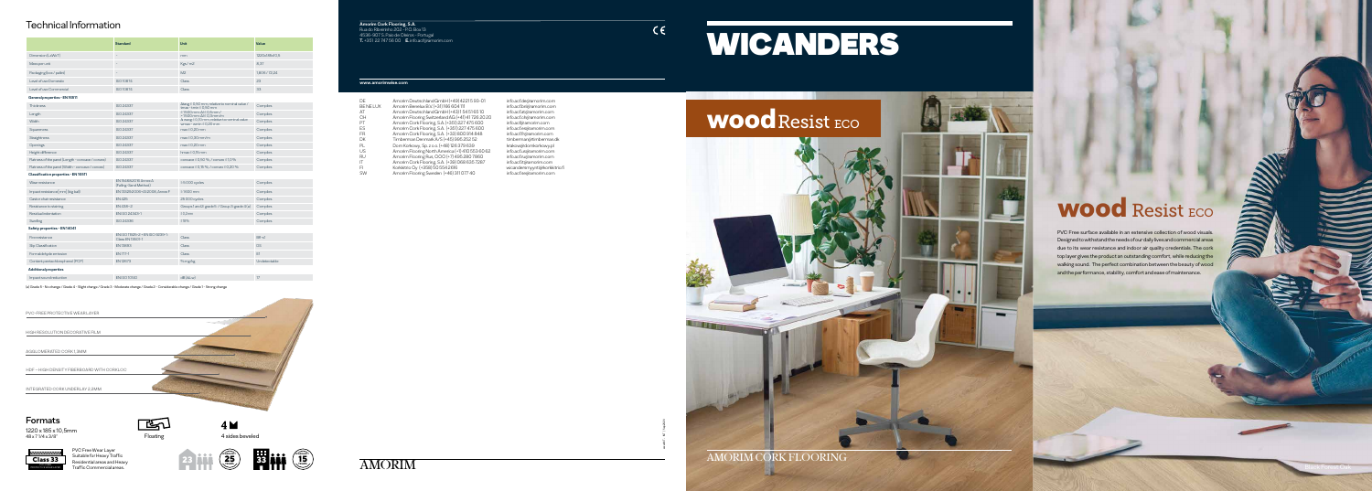AMORIM CORK FLOORING

## WOOd Resist ECO

#### **Amorim Cork Flooring, S.A.**

Rua do Ribeirinho 202 - P.O. Box 13 4536-907 S. Paio de Oleiros - Portugal **T.** +351 22 747 56 00 **E.** info.acf@amorim.com

### **www.amorimwise.com**

| )F        | Amorim Deutschland GmbH (+49) 4221 5 93-01       |
|-----------|--------------------------------------------------|
| BE NE LUX | Amorim Benelux B.V. (+31) 166 604 111            |
| ١T        | Amorim Deutschland GmbH (+43) 154 51 65 10       |
| ж         | Amorim Flooring Switzerland AG (+41) 41726 20 20 |
| 가         | Amorim Cork Flooring, S.A. (+351) 227 475 600    |
| ES:       | Amorim Cork Flooring, S.A. (+351) 227 475 600    |
| -R        | Amorim Cork Flooring, S.A. (+33) 800 914 848     |
| Ж         | Timberman Denmark A/S (+45) 995 252 52           |
| ગ⊥        | Dom Korkowy, Sp. z o.o. (+48) 126 379 639        |
| JS        | Amorim Flooring North America (+1) 410 553 60 62 |
| ЯU        | Amorim Flooring Rus, OOO (+7) 495 280 7860       |
| T         | Amorim Cork Flooring, S.A. (+39) 068 635 7287    |
| -1        | Korkkitrio Oy (+358) 50 554 2616                 |
| SW        | Amorim Flooring Sweden (+46) 311 077 40          |
|           |                                                  |

info.acf.de@amorim.com BE NE LUX Amorim Benelux B.V. (+31) 166 604 111 info.acf.bnl@amorim.com info.acf.at@amorim.com info.acf.ch@amorim.com info.acf@amorim.com info.acf.es@amorim.com info.acf.fr@amorim.com timberman@timberman.dk krakow@domkorkowy.pl info.acf.us@amorim.com info.acf.ru@amorim.com info.acf.it@amorim.com wicandersmyynti@korkkitrio.fi info.acf.se@amorim.com



 $C \in$ 

xxxxxMT - INT | Sep2020



# WICANDERS

PVC Free surface available in an extensive collection of wood visuals. Designed to withstand the needs of our daily lives and commercial areas due to its wear resistance and indoor air quality credentials. The cork top layer gives the product an outstanding comfort, while reducing the walking sound. The perfect combination between the beauty of wood and the performance, stability, comfort and ease of maintenance.



EST

PVC Free Wear Layer Suitable for Heavy Traffic Residential areas and Heavy Traffic Commercial areas.

|                                                   | <b>Standard</b>                                     | <b>Unit</b>                                                                                                                                                                                                                                                                | Value         |  |
|---------------------------------------------------|-----------------------------------------------------|----------------------------------------------------------------------------------------------------------------------------------------------------------------------------------------------------------------------------------------------------------------------------|---------------|--|
| Dimension (LxWxT)                                 |                                                     | mm                                                                                                                                                                                                                                                                         | 1220x185x10.5 |  |
| Mass per unit                                     |                                                     | Kgs / m2                                                                                                                                                                                                                                                                   | 8,37          |  |
| Packaging (box / pallet)                          |                                                     | M <sup>2</sup>                                                                                                                                                                                                                                                             | 1,806/72,24   |  |
| Level of use Domestic                             | <b>ISO10874</b>                                     | Class                                                                                                                                                                                                                                                                      | 23            |  |
| Level of use Commercial                           | <b>ISO 10874</b>                                    | <b>Class</b>                                                                                                                                                                                                                                                               | 33            |  |
| General properties - EN 16511                     |                                                     |                                                                                                                                                                                                                                                                            |               |  |
| <b>Thickness</b>                                  | ISO 24337                                           | $\Delta$ tavg $\leq$ 0,50 mm, relative to nominal value /<br>$t$ max - $t$ min $\leq$ 0,50 mm<br>$\leq$ 1500 mm: $\Delta$ I $\leq$ 0.5 mm/<br>$>1500$ mm: $\Delta l \le 0.3$ mm/m<br>$\Delta$ wavg $\leq$ 0,10 mm, relative to nominal value<br>wmax - wmin $\leq$ 0.20 mm | Complies      |  |
| Length                                            | <b>ISO 24337</b>                                    |                                                                                                                                                                                                                                                                            | Complies      |  |
| Width                                             | ISO 24337                                           |                                                                                                                                                                                                                                                                            | Complies      |  |
| Squareness                                        | <b>ISO 24337</b>                                    | $max \leq 0.20$ mm                                                                                                                                                                                                                                                         | Complies      |  |
| <b>Straightness</b>                               | ISO 24337                                           | $max \leq 0.30$ mm/m                                                                                                                                                                                                                                                       | Complies      |  |
| Openings                                          | <b>ISO 24337</b>                                    | $max \leq 0.20$ mm                                                                                                                                                                                                                                                         | Complies      |  |
| Height difference                                 | <b>ISO 24337</b>                                    | hmax $\leq$ 0.15 mm                                                                                                                                                                                                                                                        | Complies      |  |
| Flatness of the panel (Length - concave / convex) | <b>ISO 24337</b>                                    | concave $\leq$ 0,50 %, / convex $\leq$ 1,0 %                                                                                                                                                                                                                               | Complies      |  |
| Flatness of the panel (Width - concave / convex)  | ISO 24337                                           | concave $\leq$ 0,15%, / convex $\leq$ 0,20%                                                                                                                                                                                                                                | Complies      |  |
| Classification properties - EN 16511              |                                                     |                                                                                                                                                                                                                                                                            |               |  |
| Wear resistance                                   | EN 15468:2016 Annex A<br>(Falling-Sand Method)      | $\geq$ 5 000 cycles                                                                                                                                                                                                                                                        | Complies      |  |
| Impact resistance [mm] (big ball)                 | EN 13329:2006+A1:2008, Annex F                      | $\geq 1600$ mm                                                                                                                                                                                                                                                             | Complies      |  |
| Castor chair resistance                           | <b>EN 425</b>                                       | 25 000 cycles                                                                                                                                                                                                                                                              | Complies      |  |
| Resistance to staining                            | EN438-2                                             | Groups 1 and 2: grade 5 / Group 3: grade 4 (a)                                                                                                                                                                                                                             | Complies      |  |
| Residual indentation                              | EN ISO 24343-1                                      | ≤0.2mm                                                                                                                                                                                                                                                                     | Complies      |  |
| Swelling                                          | <b>ISO 24336</b>                                    | ≤18%                                                                                                                                                                                                                                                                       | Complies      |  |
| Safety properties - EN 14041                      |                                                     |                                                                                                                                                                                                                                                                            |               |  |
| Fire resistance                                   | EN ISO 11925-2 + EN ISO 9239-1:<br>Class EN 13501-1 | Class                                                                                                                                                                                                                                                                      | $Bf - s1$     |  |
| Slip Classification                               | EN13893                                             | Class                                                                                                                                                                                                                                                                      | <b>DS</b>     |  |
| Formaldehyde emission                             | FN 717-1                                            | Class                                                                                                                                                                                                                                                                      | F1            |  |
| Content pentachlorophenol (PCP)                   | FN12673                                             | % mg/kg                                                                                                                                                                                                                                                                    | Undetectable  |  |
| <b>Additional properties</b>                      |                                                     |                                                                                                                                                                                                                                                                            |               |  |

Impact sound reduction EN ISO 10140 dB (∆ Lw) 17

(a) Grade 5 - No change / Grade 4 - Slight change / Grade 3 - Moderate change / Grade 2 - Considerable change / Grade 1 - Strong change

## Technical Information



 $4M$ 

Floating 2002 and 4 sides beveled



## Formats

1220 x 185 x 10,5mm 48 x 7 1/4 x 3/8"